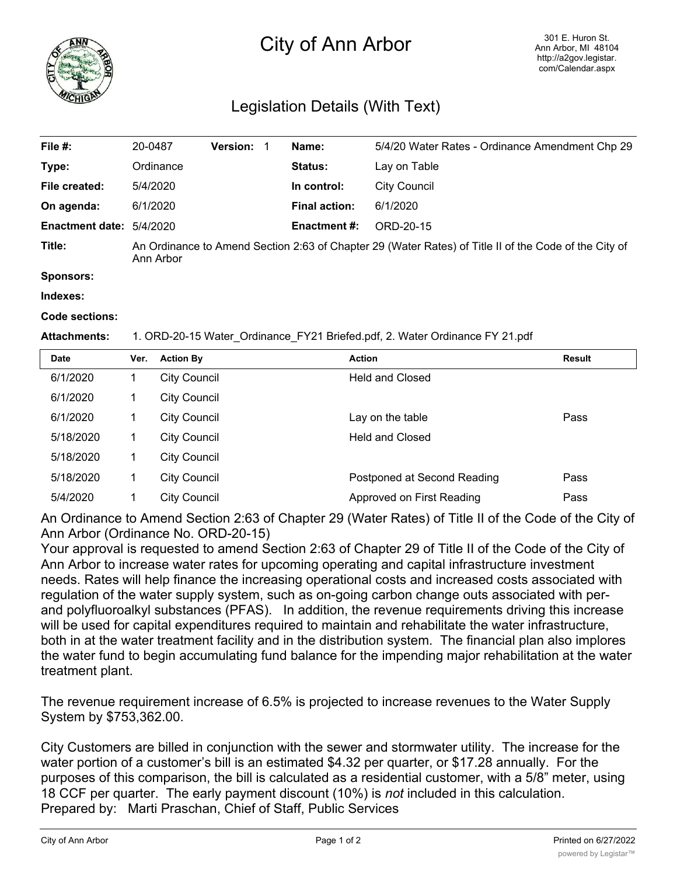

## City of Ann Arbor

## Legislation Details (With Text)

| File #:                | 20-0487                                                                                                            | <b>Version:</b> | Name:                | 5/4/20 Water Rates - Ordinance Amendment Chp 29 |  |
|------------------------|--------------------------------------------------------------------------------------------------------------------|-----------------|----------------------|-------------------------------------------------|--|
| Type:                  | Ordinance                                                                                                          |                 | <b>Status:</b>       | Lay on Table                                    |  |
| File created:          | 5/4/2020                                                                                                           |                 | In control:          | City Council                                    |  |
| On agenda:             | 6/1/2020                                                                                                           |                 | <b>Final action:</b> | 6/1/2020                                        |  |
| <b>Enactment date:</b> | 5/4/2020                                                                                                           |                 | <b>Enactment #:</b>  | ORD-20-15                                       |  |
| Title:                 | An Ordinance to Amend Section 2:63 of Chapter 29 (Water Rates) of Title II of the Code of the City of<br>Ann Arbor |                 |                      |                                                 |  |
| Sponsors:              |                                                                                                                    |                 |                      |                                                 |  |

**Indexes:**

**Code sections:**

## **Attachments:** 1. ORD-20-15 Water\_Ordinance\_FY21 Briefed.pdf, 2. Water Ordinance FY 21.pdf

| <b>Date</b> | Ver. | <b>Action By</b>    | <b>Action</b>               | <b>Result</b> |
|-------------|------|---------------------|-----------------------------|---------------|
| 6/1/2020    |      | <b>City Council</b> | <b>Held and Closed</b>      |               |
| 6/1/2020    |      | <b>City Council</b> |                             |               |
| 6/1/2020    |      | <b>City Council</b> | Lay on the table            | Pass          |
| 5/18/2020   | 1    | <b>City Council</b> | <b>Held and Closed</b>      |               |
| 5/18/2020   | 1    | <b>City Council</b> |                             |               |
| 5/18/2020   | 1    | <b>City Council</b> | Postponed at Second Reading | Pass          |
| 5/4/2020    | 4    | City Council        | Approved on First Reading   | Pass          |

An Ordinance to Amend Section 2:63 of Chapter 29 (Water Rates) of Title II of the Code of the City of Ann Arbor (Ordinance No. ORD-20-15)

Your approval is requested to amend Section 2:63 of Chapter 29 of Title II of the Code of the City of Ann Arbor to increase water rates for upcoming operating and capital infrastructure investment needs. Rates will help finance the increasing operational costs and increased costs associated with regulation of the water supply system, such as on-going carbon change outs associated with perand polyfluoroalkyl substances (PFAS). In addition, the revenue requirements driving this increase will be used for capital expenditures required to maintain and rehabilitate the water infrastructure, both in at the water treatment facility and in the distribution system. The financial plan also implores the water fund to begin accumulating fund balance for the impending major rehabilitation at the water treatment plant.

The revenue requirement increase of 6.5% is projected to increase revenues to the Water Supply System by \$753,362.00.

City Customers are billed in conjunction with the sewer and stormwater utility. The increase for the water portion of a customer's bill is an estimated \$4.32 per quarter, or \$17.28 annually. For the purposes of this comparison, the bill is calculated as a residential customer, with a 5/8" meter, using 18 CCF per quarter. The early payment discount (10%) is *not* included in this calculation. Prepared by: Marti Praschan, Chief of Staff, Public Services